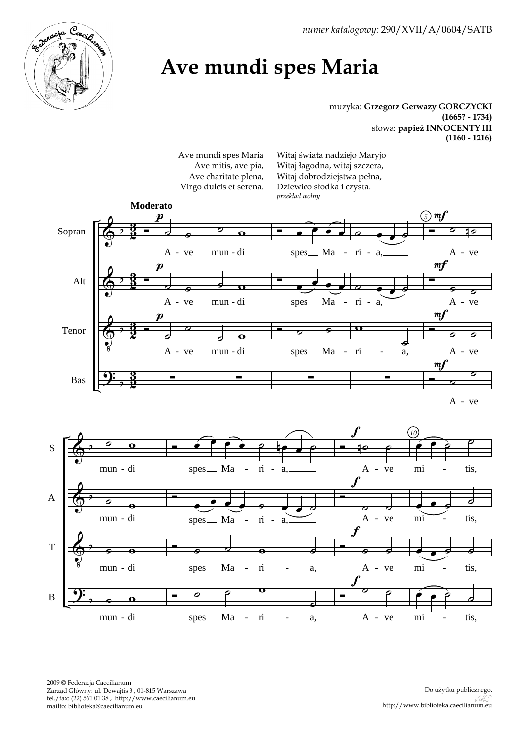*numer katalogowy:* 290/XVII/A/0604/SATB



## **Ave mundi spes Maria**

muzyka: **Grzegorz Gerwazy GORCZYCKI (1665? - 1734)** słowa: papież INNOCENTY III **(1160 - 1216)**



2009 © Federacja Caecilianum Zarząd Główny: ul. Dewajtis 3 , 01-815 Warszawa tel./fax: (22) 561 01 38 , http://www.caecilianum.eu mailto: biblioteka@caecilianum.eu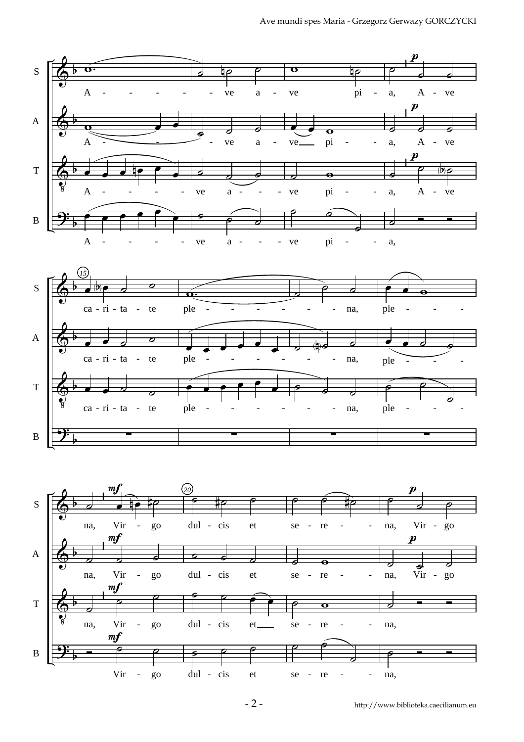